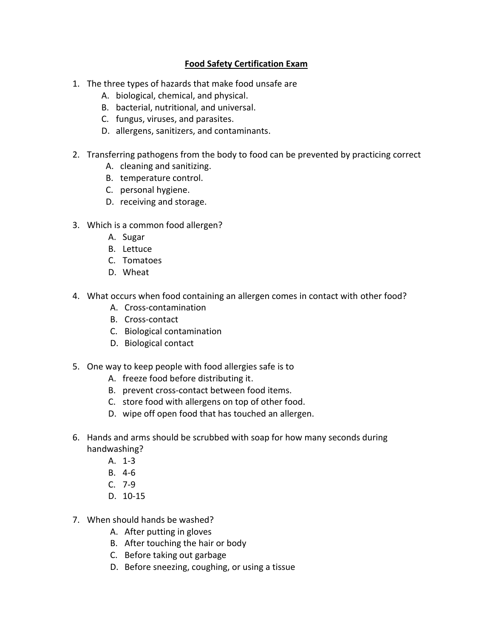## **Food Safety Certification Exam**

- 1. The three types of hazards that make food unsafe are
	- A. biological, chemical, and physical.
	- B. bacterial, nutritional, and universal.
	- C. fungus, viruses, and parasites.
	- D. allergens, sanitizers, and contaminants.
- 2. Transferring pathogens from the body to food can be prevented by practicing correct
	- A. cleaning and sanitizing.
	- B. temperature control.
	- C. personal hygiene.
	- D. receiving and storage.
- 3. Which is a common food allergen?
	- A. Sugar
	- B. Lettuce
	- C. Tomatoes
	- D. Wheat
- 4. What occurs when food containing an allergen comes in contact with other food?
	- A. Cross-contamination
	- B. Cross-contact
	- C. Biological contamination
	- D. Biological contact
- 5. One way to keep people with food allergies safe is to
	- A. freeze food before distributing it.
	- B. prevent cross-contact between food items.
	- C. store food with allergens on top of other food.
	- D. wipe off open food that has touched an allergen.
- 6. Hands and arms should be scrubbed with soap for how many seconds during handwashing?
	- A. 1-3
	- B. 4-6
	- C. 7-9
	- D. 10-15
- 7. When should hands be washed?
	- A. After putting in gloves
	- B. After touching the hair or body
	- C. Before taking out garbage
	- D. Before sneezing, coughing, or using a tissue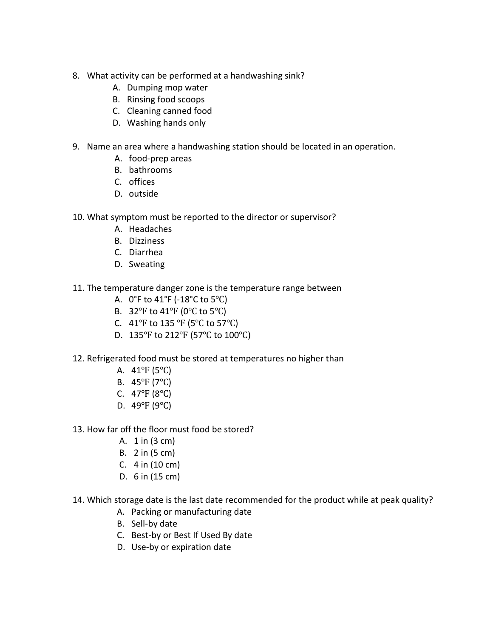- 8. What activity can be performed at a handwashing sink?
	- A. Dumping mop water
	- B. Rinsing food scoops
	- C. Cleaning canned food
	- D. Washing hands only
- 9. Name an area where a handwashing station should be located in an operation.
	- A. food-prep areas
	- B. bathrooms
	- C. offices
	- D. outside
- 10. What symptom must be reported to the director or supervisor?
	- A. Headaches
	- B. Dizziness
	- C. Diarrhea
	- D. Sweating
- 11. The temperature danger zone is the temperature range between
	- A. 0°F to 41°F (-18°C to 5℃)
	- B. 32℉ to 41℉ (0℃ to 5℃)
	- C. 41℉ to 135 ℉ (5℃ to 57℃)
	- D. 135℉ to 212℉ (57℃ to 100℃)
- 12. Refrigerated food must be stored at temperatures no higher than
	- A. 41℉ (5℃)
	- B. 45℉ (7℃)
	- C.  $47^{\circ}F(8^{\circ}C)$
	- D. 49°F (9°C)
- 13. How far off the floor must food be stored?
	- A. 1 in (3 cm)
	- B. 2 in (5 cm)
	- C. 4 in (10 cm)
	- D. 6 in (15 cm)
- 14. Which storage date is the last date recommended for the product while at peak quality?
	- A. Packing or manufacturing date
	- B. Sell-by date
	- C. Best-by or Best If Used By date
	- D. Use-by or expiration date